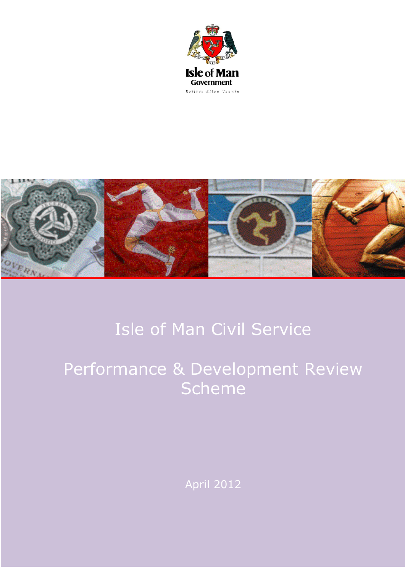



# Isle of Man Civil Service

Performance & Development Review **Scheme** 

April 2012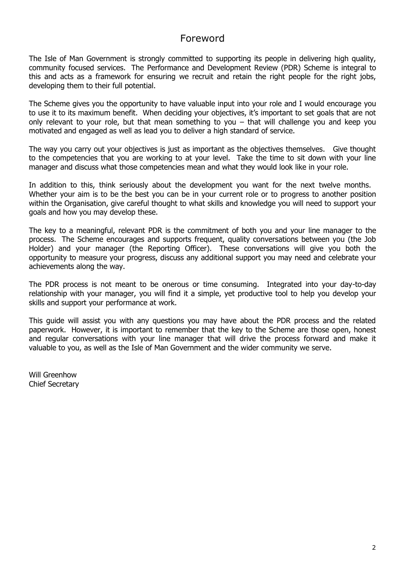# Foreword

The Isle of Man Government is strongly committed to supporting its people in delivering high quality, community focused services. The Performance and Development Review (PDR) Scheme is integral to this and acts as a framework for ensuring we recruit and retain the right people for the right jobs, developing them to their full potential.

The Scheme gives you the opportunity to have valuable input into your role and I would encourage you to use it to its maximum benefit. When deciding your objectives, it"s important to set goals that are not only relevant to your role, but that mean something to you – that will challenge you and keep you motivated and engaged as well as lead you to deliver a high standard of service.

The way you carry out your objectives is just as important as the objectives themselves. Give thought to the competencies that you are working to at your level. Take the time to sit down with your line manager and discuss what those competencies mean and what they would look like in your role.

In addition to this, think seriously about the development you want for the next twelve months. Whether your aim is to be the best you can be in your current role or to progress to another position within the Organisation, give careful thought to what skills and knowledge you will need to support your goals and how you may develop these.

The key to a meaningful, relevant PDR is the commitment of both you and your line manager to the process. The Scheme encourages and supports frequent, quality conversations between you (the Job Holder) and your manager (the Reporting Officer). These conversations will give you both the opportunity to measure your progress, discuss any additional support you may need and celebrate your achievements along the way.

The PDR process is not meant to be onerous or time consuming. Integrated into your day-to-day relationship with your manager, you will find it a simple, yet productive tool to help you develop your skills and support your performance at work.

This guide will assist you with any questions you may have about the PDR process and the related paperwork. However, it is important to remember that the key to the Scheme are those open, honest and regular conversations with your line manager that will drive the process forward and make it valuable to you, as well as the Isle of Man Government and the wider community we serve.

Will Greenhow Chief Secretary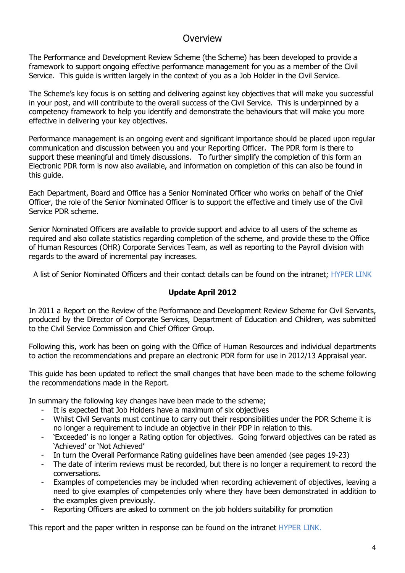# **Overview**

The Performance and Development Review Scheme (the Scheme) has been developed to provide a framework to support ongoing effective performance management for you as a member of the Civil Service. This guide is written largely in the context of you as a Job Holder in the Civil Service.

The Scheme"s key focus is on setting and delivering against key objectives that will make you successful in your post, and will contribute to the overall success of the Civil Service. This is underpinned by a competency framework to help you identify and demonstrate the behaviours that will make you more effective in delivering your key objectives.

Performance management is an ongoing event and significant importance should be placed upon regular communication and discussion between you and your Reporting Officer. The PDR form is there to support these meaningful and timely discussions. To further simplify the completion of this form an Electronic PDR form is now also available, and information on completion of this can also be found in this guide.

Each Department, Board and Office has a Senior Nominated Officer who works on behalf of the Chief Officer, the role of the Senior Nominated Officer is to support the effective and timely use of the Civil Service PDR scheme.

Senior Nominated Officers are available to provide support and advice to all users of the scheme as required and also collate statistics regarding completion of the scheme, and provide these to the Office of Human Resources (OHR) Corporate Services Team, as well as reporting to the Payroll division with regards to the award of incremental pay increases.

A list of Senior Nominated Officers and their contact details can be found on the intranet; HYPER LINK

# **Update April 2012**

In 2011 a Report on the Review of the Performance and Development Review Scheme for Civil Servants, produced by the Director of Corporate Services, Department of Education and Children, was submitted to the Civil Service Commission and Chief Officer Group.

Following this, work has been on going with the Office of Human Resources and individual departments to action the recommendations and prepare an electronic PDR form for use in 2012/13 Appraisal year.

This guide has been updated to reflect the small changes that have been made to the scheme following the recommendations made in the Report.

In summary the following key changes have been made to the scheme;

- It is expected that Job Holders have a maximum of six objectives
- Whilst Civil Servants must continue to carry out their responsibilities under the PDR Scheme it is no longer a requirement to include an objective in their PDP in relation to this.
- "Exceeded" is no longer a Rating option for objectives. Going forward objectives can be rated as "Achieved" or "Not Achieved"
- In turn the Overall Performance Rating guidelines have been amended (see pages 19-23)
- The date of interim reviews must be recorded, but there is no longer a requirement to record the conversations.
- Examples of competencies may be included when recording achievement of objectives, leaving a need to give examples of competencies only where they have been demonstrated in addition to the examples given previously.
- Reporting Officers are asked to comment on the job holders suitability for promotion

This report and the paper written in response can be found on the intranet HYPER LINK.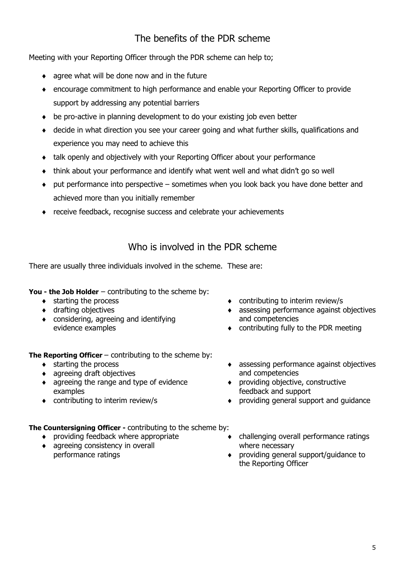# The benefits of the PDR scheme

Meeting with your Reporting Officer through the PDR scheme can help to;

- agree what will be done now and in the future
- encourage commitment to high performance and enable your Reporting Officer to provide support by addressing any potential barriers
- be pro-active in planning development to do your existing job even better
- decide in what direction you see your career going and what further skills, qualifications and experience you may need to achieve this
- talk openly and objectively with your Reporting Officer about your performance
- think about your performance and identify what went well and what didn"t go so well
- put performance into perspective sometimes when you look back you have done better and achieved more than you initially remember
- receive feedback, recognise success and celebrate your achievements

# Who is involved in the PDR scheme

There are usually three individuals involved in the scheme. These are:

**You - the Job Holder** – contributing to the scheme by:

- starting the process
- drafting objectives
- considering, agreeing and identifying evidence examples
- contributing to interim review/s
- assessing performance against objectives and competencies
- contributing fully to the PDR meeting

**The Reporting Officer** – contributing to the scheme by:

- $\bullet$  starting the process
- agreeing draft objectives
- agreeing the range and type of evidence examples
- contributing to interim review/s
- assessing performance against objectives and competencies
- providing objective, constructive feedback and support
- providing general support and guidance

**The Countersigning Officer -** contributing to the scheme by:

- providing feedback where appropriate
- agreeing consistency in overall performance ratings
- challenging overall performance ratings where necessary
- providing general support/guidance to the Reporting Officer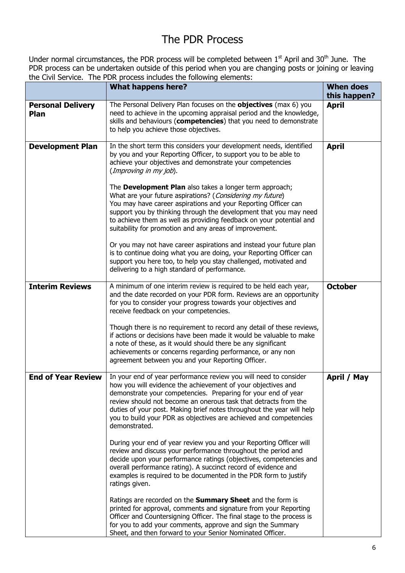# The PDR Process

Under normal circumstances, the PDR process will be completed between  $1<sup>st</sup>$  April and 30<sup>th</sup> June. The PDR process can be undertaken outside of this period when you are changing posts or joining or leaving the Civil Service. The PDR process includes the following elements:

|                                  | What happens here?                                                                                                                                                                                                                                                                                                                                                                                                                  | <b>When does</b><br>this happen? |
|----------------------------------|-------------------------------------------------------------------------------------------------------------------------------------------------------------------------------------------------------------------------------------------------------------------------------------------------------------------------------------------------------------------------------------------------------------------------------------|----------------------------------|
| <b>Personal Delivery</b><br>Plan | The Personal Delivery Plan focuses on the <b>objectives</b> (max 6) you<br>need to achieve in the upcoming appraisal period and the knowledge,<br>skills and behaviours (competencies) that you need to demonstrate<br>to help you achieve those objectives.                                                                                                                                                                        | <b>April</b>                     |
| <b>Development Plan</b>          | In the short term this considers your development needs, identified<br>by you and your Reporting Officer, to support you to be able to<br>achieve your objectives and demonstrate your competencies<br>(Improving in my job).                                                                                                                                                                                                       | <b>April</b>                     |
|                                  | The Development Plan also takes a longer term approach;<br>What are your future aspirations? (Considering my future)<br>You may have career aspirations and your Reporting Officer can<br>support you by thinking through the development that you may need<br>to achieve them as well as providing feedback on your potential and<br>suitability for promotion and any areas of improvement.                                       |                                  |
|                                  | Or you may not have career aspirations and instead your future plan<br>is to continue doing what you are doing, your Reporting Officer can<br>support you here too, to help you stay challenged, motivated and<br>delivering to a high standard of performance.                                                                                                                                                                     |                                  |
| <b>Interim Reviews</b>           | A minimum of one interim review is required to be held each year,<br>and the date recorded on your PDR form. Reviews are an opportunity<br>for you to consider your progress towards your objectives and<br>receive feedback on your competencies.                                                                                                                                                                                  | <b>October</b>                   |
|                                  | Though there is no requirement to record any detail of these reviews,<br>if actions or decisions have been made it would be valuable to make<br>a note of these, as it would should there be any significant<br>achievements or concerns regarding performance, or any non<br>agreement between you and your Reporting Officer.                                                                                                     |                                  |
| <b>End of Year Review</b>        | In your end of year performance review you will need to consider<br>how you will evidence the achievement of your objectives and<br>demonstrate your competencies. Preparing for your end of year<br>review should not become an onerous task that detracts from the<br>duties of your post. Making brief notes throughout the year will help<br>you to build your PDR as objectives are achieved and competencies<br>demonstrated. | April / May                      |
|                                  | During your end of year review you and your Reporting Officer will<br>review and discuss your performance throughout the period and<br>decide upon your performance ratings (objectives, competencies and<br>overall performance rating). A succinct record of evidence and<br>examples is required to be documented in the PDR form to justify<br>ratings given.                                                                   |                                  |
|                                  | Ratings are recorded on the Summary Sheet and the form is<br>printed for approval, comments and signature from your Reporting<br>Officer and Countersigning Officer. The final stage to the process is<br>for you to add your comments, approve and sign the Summary<br>Sheet, and then forward to your Senior Nominated Officer.                                                                                                   |                                  |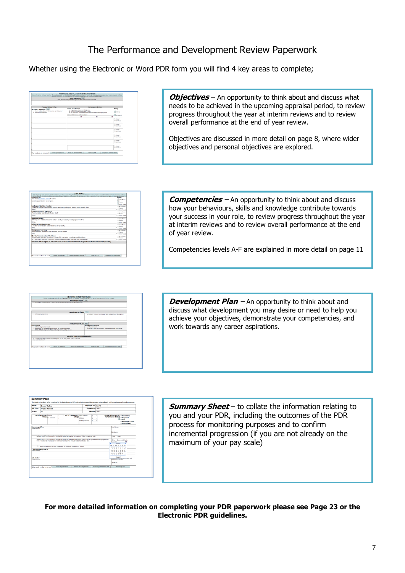Whether using the Electronic or Word PDR form you will find 4 key areas to complete;

|                                                                                        | Wider Objectives <sup>[166</sup> 2]<br>Team, Okidonal ar Departmental objectives which I need to contribute towards.                                                  |                     |
|----------------------------------------------------------------------------------------|-----------------------------------------------------------------------------------------------------------------------------------------------------------------------|---------------------|
| <b>Personal Delivery Plan</b>                                                          | <b>Performance Review</b>                                                                                                                                             |                     |
| My SMAILT Obsectives 1980                                                              | <b>Ford of Vour Brazing</b>                                                                                                                                           | <b>Hallys</b>       |
| . What I rend to achieve in the upcoming appraisel period<br>. Maximum of 6 objectives | a Entertain by known and an experience<br>. An incline of executive to support refinest<br>. Any behaviours, broudedie and state demonstrated in determine objectives | 31 Armed            |
|                                                                                        | thats of Performance review meetings:                                                                                                                                 | <b>El sus Adams</b> |
|                                                                                        | $\overline{a}$<br>٠                                                                                                                                                   | w                   |
|                                                                                        |                                                                                                                                                                       | C Arhannel          |
|                                                                                        |                                                                                                                                                                       | Critical Authorized |
|                                                                                        |                                                                                                                                                                       | C arteried          |
|                                                                                        |                                                                                                                                                                       | Craw Adams          |
|                                                                                        |                                                                                                                                                                       | C arterist          |
|                                                                                        |                                                                                                                                                                       | Creat Artistund     |
|                                                                                        |                                                                                                                                                                       | Charles and         |
|                                                                                        |                                                                                                                                                                       | Creat Adverted      |
|                                                                                        |                                                                                                                                                                       | C scheued           |
|                                                                                        |                                                                                                                                                                       | <b>Cost Margin</b>  |
|                                                                                        |                                                                                                                                                                       | C Arhitrond         |
|                                                                                        |                                                                                                                                                                       | Critical Authorized |
| <b>Roder by Concelences</b><br>Street plan by all you like to do not?                  | <b>Review my Development Plan</b><br>Complete res Summary Sheet<br><b>Baylor cu PEA</b>                                                                               |                     |

**Objectives** – An opportunity to think about and discuss what needs to be achieved in the upcoming appraisal period, to review progress throughout the year at interim reviews and to review overall performance at the end of year review.

Objectives are discussed in more detail on page 8, where wider objectives and personal objectives are explored.

| Rating<br><b>HARVERST</b><br><b>Effective</b><br><b>Noring Town to</b><br>CLARK CRASH<br>Artist off: Hoofty, Energies and housely and trustee releases, should loyaly towards them<br>D. Madrid<br><b>Golden</b><br><b>Communication and Influencing</b><br>C HALTRUSA<br>Communicating accurately, briefly and clearly<br>O DNAMA<br>felect<br>* C nodes found<br>C Hally Effective<br>C Effective<br>* C Holing Town &<br>C Hely Official<br>C Meter<br>C Hally Offictive<br>O Motion<br>. C nodes found<br>C Hally officials<br>D. Martin<br>* C Meles Trupple<br>Evidence and examples of how competencies have been demonstration (further to those within my objectives). | At the beginning of the approximate period confirms and record your competency levels. At your review research of period places how you have demonstrated these competencies and record any<br>further evidence and exemples to those provided within your objectives. At the end of the appreciatives record a serement of your evidence and exemples and your agreed ratings. |                                                    |                  |
|---------------------------------------------------------------------------------------------------------------------------------------------------------------------------------------------------------------------------------------------------------------------------------------------------------------------------------------------------------------------------------------------------------------------------------------------------------------------------------------------------------------------------------------------------------------------------------------------------------------------------------------------------------------------------------|---------------------------------------------------------------------------------------------------------------------------------------------------------------------------------------------------------------------------------------------------------------------------------------------------------------------------------------------------------------------------------|----------------------------------------------------|------------------|
|                                                                                                                                                                                                                                                                                                                                                                                                                                                                                                                                                                                                                                                                                 | Competencies<br>Dealershy to De Considerer Francock for authors.                                                                                                                                                                                                                                                                                                                |                                                    |                  |
|                                                                                                                                                                                                                                                                                                                                                                                                                                                                                                                                                                                                                                                                                 | Select the appropriate level for your grade.                                                                                                                                                                                                                                                                                                                                    |                                                    |                  |
|                                                                                                                                                                                                                                                                                                                                                                                                                                                                                                                                                                                                                                                                                 |                                                                                                                                                                                                                                                                                                                                                                                 |                                                    |                  |
|                                                                                                                                                                                                                                                                                                                                                                                                                                                                                                                                                                                                                                                                                 | Leading and Working Together                                                                                                                                                                                                                                                                                                                                                    |                                                    |                  |
|                                                                                                                                                                                                                                                                                                                                                                                                                                                                                                                                                                                                                                                                                 |                                                                                                                                                                                                                                                                                                                                                                                 |                                                    |                  |
|                                                                                                                                                                                                                                                                                                                                                                                                                                                                                                                                                                                                                                                                                 |                                                                                                                                                                                                                                                                                                                                                                                 |                                                    | District Toyota  |
|                                                                                                                                                                                                                                                                                                                                                                                                                                                                                                                                                                                                                                                                                 |                                                                                                                                                                                                                                                                                                                                                                                 |                                                    |                  |
|                                                                                                                                                                                                                                                                                                                                                                                                                                                                                                                                                                                                                                                                                 |                                                                                                                                                                                                                                                                                                                                                                                 |                                                    |                  |
|                                                                                                                                                                                                                                                                                                                                                                                                                                                                                                                                                                                                                                                                                 |                                                                                                                                                                                                                                                                                                                                                                                 |                                                    |                  |
|                                                                                                                                                                                                                                                                                                                                                                                                                                                                                                                                                                                                                                                                                 | <b>Achieving Renalty</b><br>Showing drive and determination to achieve results, consistently meeting agreed deadlines.                                                                                                                                                                                                                                                          |                                                    |                  |
|                                                                                                                                                                                                                                                                                                                                                                                                                                                                                                                                                                                                                                                                                 | SolarA                                                                                                                                                                                                                                                                                                                                                                          |                                                    |                  |
|                                                                                                                                                                                                                                                                                                                                                                                                                                                                                                                                                                                                                                                                                 | <b>Delivering a Quality Service</b><br>Toyoting customers and outcomer senior as too priority.                                                                                                                                                                                                                                                                                  |                                                    |                  |
|                                                                                                                                                                                                                                                                                                                                                                                                                                                                                                                                                                                                                                                                                 | Solect                                                                                                                                                                                                                                                                                                                                                                          |                                                    | C Andrew Towards |
|                                                                                                                                                                                                                                                                                                                                                                                                                                                                                                                                                                                                                                                                                 | Changing and Learning<br>Being reservant reception to new ideas and some of seekings                                                                                                                                                                                                                                                                                            |                                                    |                  |
|                                                                                                                                                                                                                                                                                                                                                                                                                                                                                                                                                                                                                                                                                 | Solart.                                                                                                                                                                                                                                                                                                                                                                         |                                                    |                  |
|                                                                                                                                                                                                                                                                                                                                                                                                                                                                                                                                                                                                                                                                                 | Showing Consultment and Readhosce<br>Demonstrates only and persistence in york, whilst maintaining a productive work-life balance.                                                                                                                                                                                                                                              |                                                    |                  |
|                                                                                                                                                                                                                                                                                                                                                                                                                                                                                                                                                                                                                                                                                 | A - Taking pride in doing what is required & showing facus & determination when faced with rautine settingly.                                                                                                                                                                                                                                                                   |                                                    |                  |
|                                                                                                                                                                                                                                                                                                                                                                                                                                                                                                                                                                                                                                                                                 |                                                                                                                                                                                                                                                                                                                                                                                 |                                                    |                  |
|                                                                                                                                                                                                                                                                                                                                                                                                                                                                                                                                                                                                                                                                                 |                                                                                                                                                                                                                                                                                                                                                                                 |                                                    |                  |
|                                                                                                                                                                                                                                                                                                                                                                                                                                                                                                                                                                                                                                                                                 |                                                                                                                                                                                                                                                                                                                                                                                 |                                                    |                  |
|                                                                                                                                                                                                                                                                                                                                                                                                                                                                                                                                                                                                                                                                                 |                                                                                                                                                                                                                                                                                                                                                                                 |                                                    |                  |
|                                                                                                                                                                                                                                                                                                                                                                                                                                                                                                                                                                                                                                                                                 | <b>Books by Docksmoot Han</b><br><b>Rooty by Olan Evel</b><br>System also ask user Museum harders                                                                                                                                                                                                                                                                               | Complete my Summary Sheet<br><b>Exchanging PDR</b> |                  |

**Competencies** – An opportunity to think about and discuss how your behaviours, skills and knowledge contribute towards your success in your role, to review progress throughout the year at interim reviews and to review overall performance at the end of year review.

Competencies levels A-F are explained in more detail on page 11

|                                                                                                                                 | MY FUTURE DEVELOPMENT PLANS<br>Discos your development with your Reporting Officer for the agentical prince aftered, record any agreed development and review regularly. |                                     |             |                            |                                                                         |
|---------------------------------------------------------------------------------------------------------------------------------|--------------------------------------------------------------------------------------------------------------------------------------------------------------------------|-------------------------------------|-------------|----------------------------|-------------------------------------------------------------------------|
|                                                                                                                                 |                                                                                                                                                                          | Improving in my job 1989.           |             |                            |                                                                         |
|                                                                                                                                 | . What support/development do I need to deliver my obtectives/demonstrate my competencies?                                                                               |                                     |             |                            |                                                                         |
|                                                                                                                                 |                                                                                                                                                                          | Considering my future.              | <b>HALL</b> |                            |                                                                         |
| . What ere my aspirations?                                                                                                      |                                                                                                                                                                          |                                     |             |                            | . Feedback from your line manager gives to support your development.    |
|                                                                                                                                 |                                                                                                                                                                          | DEVELOPMENT PLAN                    | No          |                            |                                                                         |
| <b>Drawingsment</b>                                                                                                             |                                                                                                                                                                          |                                     |             | <b>Excelegencer Review</b> |                                                                         |
| a. What development do Logad?                                                                                                   | . What will be the bondits to majour role the of Hen Government?<br>. What will the development be? (i.e. shedoving, bosning, editory at etc)                            |                                     |             | a What did Heavy?          | . How are I using and developing further the skills that I have learnt? |
|                                                                                                                                 |                                                                                                                                                                          |                                     |             |                            |                                                                         |
|                                                                                                                                 |                                                                                                                                                                          | Ny Skills, Experience and Knowledge |             |                            |                                                                         |
| a De I currently have skills insertance formula for that are not been utilised in my current role?<br>a time could I use these? |                                                                                                                                                                          |                                     |             |                            |                                                                         |

**Development Plan** – An opportunity to think about and discuss what development you may desire or need to help you achieve your objectives, demonstrate your competencies, and work towards any career aspirations.

|                                                  | Jennie Walker            |                                 |                       |                                                                                                                                                                                                                                                                                                                                                                                                                                             |                                         | <b>Employee No: 12345</b> |                     |                  |                                                                                                                                                                                                                                          |                                                                                           |                             |
|--------------------------------------------------|--------------------------|---------------------------------|-----------------------|---------------------------------------------------------------------------------------------------------------------------------------------------------------------------------------------------------------------------------------------------------------------------------------------------------------------------------------------------------------------------------------------------------------------------------------------|-----------------------------------------|---------------------------|---------------------|------------------|------------------------------------------------------------------------------------------------------------------------------------------------------------------------------------------------------------------------------------------|-------------------------------------------------------------------------------------------|-----------------------------|
| <b>Job Titley</b>                                | <b>Project Manager</b>   |                                 |                       |                                                                                                                                                                                                                                                                                                                                                                                                                                             |                                         | Department: Select        |                     |                  |                                                                                                                                                                                                                                          |                                                                                           |                             |
| Grader                                           | EO                       |                                 |                       |                                                                                                                                                                                                                                                                                                                                                                                                                                             |                                         |                           |                     | Division: select |                                                                                                                                                                                                                                          |                                                                                           |                             |
|                                                  | No. of objective Advered | ratings <sub>but Atlantic</sub> | ٠<br>٠<br>$\sim$<br>٠ | No. of competency highly thector                                                                                                                                                                                                                                                                                                                                                                                                            | ratings and a<br><b>Working Tewards</b> |                           | ٠<br>٠<br>$\bullet$ | ٠<br>٠<br>٠      | Please select overall contatanting<br><b>Performance Ratings</b>                                                                                                                                                                         | <sup>C</sup> Very Good<br><b>B</b> Secol<br>C Meaccestable                                | <b>C Below Expectations</b> |
|                                                  |                          |                                 |                       | As Exporting Officer I can confirm that the 3sb Holder has reached the maximum of their current pay scale.<br>As Reporting Officer I can confirm that the Job molder has maintained their performance to an acceptable standard appropriate for<br>they grade and can progress to the next incremental point of their pay scale from the due date.<br>[7] I believe the tob holder is ready and autoble for promotion in the next 12 months |                                         |                           |                     |                  | Sondure:<br><b>With</b><br>C) Van<br><b>G</b> Vac<br>June 2012<br>June 2012<br>He To Vie Th Pr Se So<br>×<br>×<br>×<br>×<br>2.8<br>14 15<br>11<br>n<br>13<br>29 29 21 22 23 24<br>×<br>28 28 27 28 28 39<br>$2$ 4 3 4 7 8<br>×<br>Doley. | <b>Incremental March</b><br>٠<br>٠<br>×<br><b>KO</b><br>٠<br>$^{16}$<br>$\mathbf{r}$<br>n |                             |
| <b>Countersiming Officer</b><br>During consuming |                          |                                 |                       |                                                                                                                                                                                                                                                                                                                                                                                                                                             |                                         |                           |                     |                  | Development Review                                                                                                                                                                                                                       |                                                                                           | <b>Anne and</b>             |
| <b>Job Holder</b><br>Dramal commertius           |                          |                                 |                       |                                                                                                                                                                                                                                                                                                                                                                                                                                             |                                         |                           |                     |                  | Senature:                                                                                                                                                                                                                                |                                                                                           |                             |

**Summary Sheet** – to collate the information relating to you and your PDR, including the outcomes of the PDR process for monitoring purposes and to confirm incremental progression (if you are not already on the maximum of your pay scale)

**For more detailed information on completing your PDR paperwork please see Page 23 or the Electronic PDR guidelines.**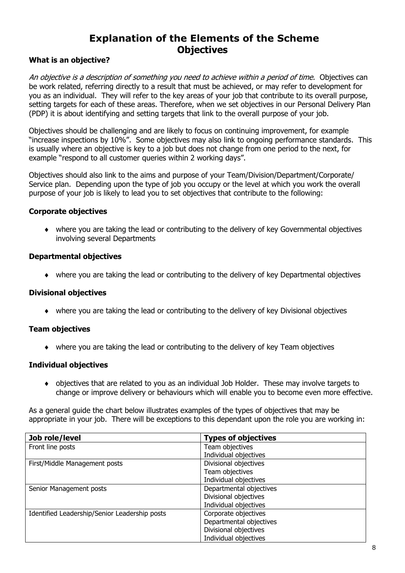# **Explanation of the Elements of the Scheme Objectives**

# **What is an objective?**

An objective is a description of something you need to achieve within a period of time. Objectives can be work related, referring directly to a result that must be achieved, or may refer to development for you as an individual. They will refer to the key areas of your job that contribute to its overall purpose, setting targets for each of these areas. Therefore, when we set objectives in our Personal Delivery Plan (PDP) it is about identifying and setting targets that link to the overall purpose of your job.

Objectives should be challenging and are likely to focus on continuing improvement, for example "increase inspections by 10%". Some objectives may also link to ongoing performance standards. This is usually where an objective is key to a job but does not change from one period to the next, for example "respond to all customer queries within 2 working days".

Objectives should also link to the aims and purpose of your Team/Division/Department/Corporate/ Service plan. Depending upon the type of job you occupy or the level at which you work the overall purpose of your job is likely to lead you to set objectives that contribute to the following:

#### **Corporate objectives**

 where you are taking the lead or contributing to the delivery of key Governmental objectives involving several Departments

### **Departmental objectives**

where you are taking the lead or contributing to the delivery of key Departmental objectives

#### **Divisional objectives**

where you are taking the lead or contributing to the delivery of key Divisional objectives

# **Team objectives**

where you are taking the lead or contributing to the delivery of key Team objectives

#### **Individual objectives**

 objectives that are related to you as an individual Job Holder. These may involve targets to change or improve delivery or behaviours which will enable you to become even more effective.

As a general guide the chart below illustrates examples of the types of objectives that may be appropriate in your job. There will be exceptions to this dependant upon the role you are working in:

| Job role/level                                | <b>Types of objectives</b> |
|-----------------------------------------------|----------------------------|
| Front line posts                              | Team objectives            |
|                                               | Individual objectives      |
| First/Middle Management posts                 | Divisional objectives      |
|                                               | Team objectives            |
|                                               | Individual objectives      |
| Senior Management posts                       | Departmental objectives    |
|                                               | Divisional objectives      |
|                                               | Individual objectives      |
| Identified Leadership/Senior Leadership posts | Corporate objectives       |
|                                               | Departmental objectives    |
|                                               | Divisional objectives      |
|                                               | Individual objectives      |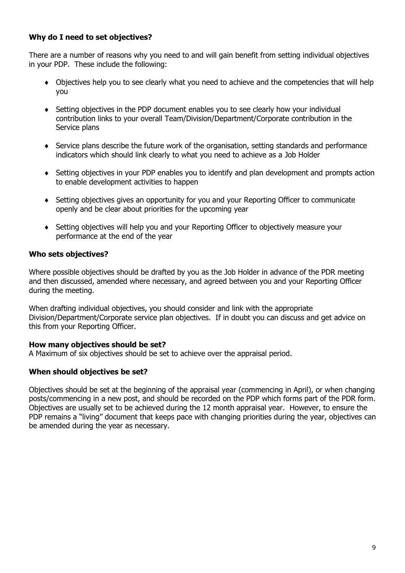# **Why do I need to set objectives?**

There are a number of reasons why you need to and will gain benefit from setting individual objectives in your PDP. These include the following:

- Objectives help you to see clearly what you need to achieve and the competencies that will help you
- Setting objectives in the PDP document enables you to see clearly how your individual contribution links to your overall Team/Division/Department/Corporate contribution in the Service plans
- Service plans describe the future work of the organisation, setting standards and performance indicators which should link clearly to what you need to achieve as a Job Holder
- Setting objectives in your PDP enables you to identify and plan development and prompts action to enable development activities to happen
- Setting objectives gives an opportunity for you and your Reporting Officer to communicate openly and be clear about priorities for the upcoming year
- Setting objectives will help you and your Reporting Officer to objectively measure your performance at the end of the year

### **Who sets objectives?**

Where possible objectives should be drafted by you as the Job Holder in advance of the PDR meeting and then discussed, amended where necessary, and agreed between you and your Reporting Officer during the meeting.

When drafting individual objectives, you should consider and link with the appropriate Division/Department/Corporate service plan objectives. If in doubt you can discuss and get advice on this from your Reporting Officer.

#### **How many objectives should be set?**

A Maximum of six objectives should be set to achieve over the appraisal period.

# **When should objectives be set?**

Objectives should be set at the beginning of the appraisal year (commencing in April), or when changing posts/commencing in a new post, and should be recorded on the PDP which forms part of the PDR form. Objectives are usually set to be achieved during the 12 month appraisal year. However, to ensure the PDP remains a "living" document that keeps pace with changing priorities during the year, objectives can be amended during the year as necessary.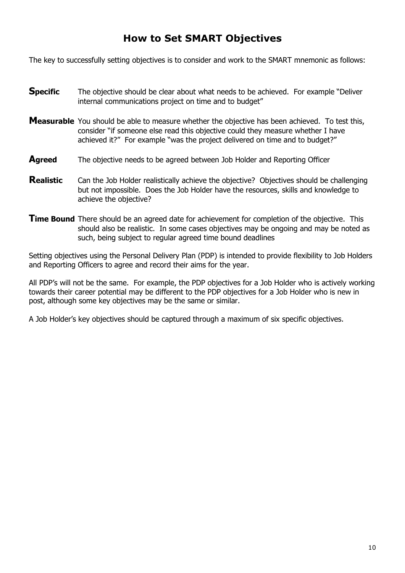# **How to Set SMART Objectives**

The key to successfully setting objectives is to consider and work to the SMART mnemonic as follows:

- **Specific** The objective should be clear about what needs to be achieved. For example "Deliver internal communications project on time and to budget"
- **Measurable** You should be able to measure whether the objective has been achieved. To test this, consider "if someone else read this objective could they measure whether I have achieved it?" For example "was the project delivered on time and to budget?"
- **Agreed** The objective needs to be agreed between Job Holder and Reporting Officer
- **Realistic** Can the Job Holder realistically achieve the objective? Objectives should be challenging but not impossible. Does the Job Holder have the resources, skills and knowledge to achieve the objective?
- **Time Bound** There should be an agreed date for achievement for completion of the objective. This should also be realistic. In some cases objectives may be ongoing and may be noted as such, being subject to regular agreed time bound deadlines

Setting objectives using the Personal Delivery Plan (PDP) is intended to provide flexibility to Job Holders and Reporting Officers to agree and record their aims for the year.

All PDP"s will not be the same. For example, the PDP objectives for a Job Holder who is actively working towards their career potential may be different to the PDP objectives for a Job Holder who is new in post, although some key objectives may be the same or similar.

A Job Holder"s key objectives should be captured through a maximum of six specific objectives.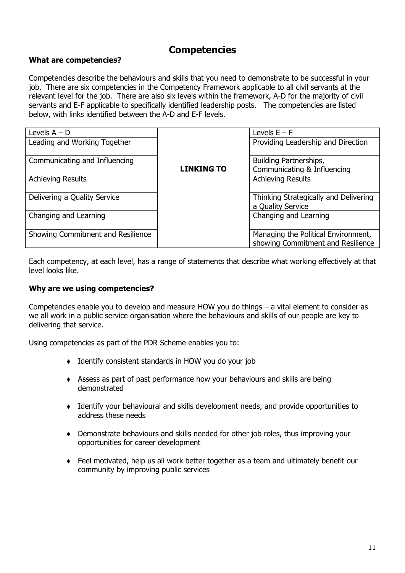# **Competencies**

# **What are competencies?**

Competencies describe the behaviours and skills that you need to demonstrate to be successful in your job. There are six competencies in the Competency Framework applicable to all civil servants at the relevant level for the job. There are also six levels within the framework, A-D for the majority of civil servants and E-F applicable to specifically identified leadership posts. The competencies are listed below, with links identified between the A-D and E-F levels.

| Levels $A - D$                    |                   | Levels $E - F$                                                           |
|-----------------------------------|-------------------|--------------------------------------------------------------------------|
| Leading and Working Together      |                   | Providing Leadership and Direction                                       |
| Communicating and Influencing     | <b>LINKING TO</b> | Building Partnerships,<br>Communicating & Influencing                    |
| <b>Achieving Results</b>          |                   | <b>Achieving Results</b>                                                 |
| Delivering a Quality Service      |                   | Thinking Strategically and Delivering<br>a Quality Service               |
| Changing and Learning             |                   | Changing and Learning                                                    |
| Showing Commitment and Resilience |                   | Managing the Political Environment,<br>showing Commitment and Resilience |

Each competency, at each level, has a range of statements that describe what working effectively at that level looks like.

### **Why are we using competencies?**

Competencies enable you to develop and measure HOW you do things – a vital element to consider as we all work in a public service organisation where the behaviours and skills of our people are key to delivering that service.

Using competencies as part of the PDR Scheme enables you to:

- Identify consistent standards in HOW you do your job
- Assess as part of past performance how your behaviours and skills are being demonstrated
- Identify your behavioural and skills development needs, and provide opportunities to address these needs
- Demonstrate behaviours and skills needed for other job roles, thus improving your opportunities for career development
- Feel motivated, help us all work better together as a team and ultimately benefit our community by improving public services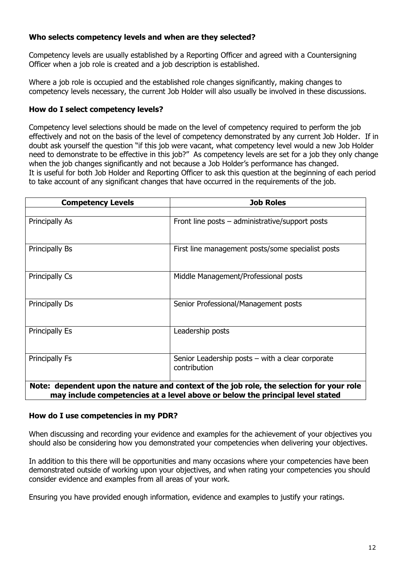# **Who selects competency levels and when are they selected?**

Competency levels are usually established by a Reporting Officer and agreed with a Countersigning Officer when a job role is created and a job description is established.

Where a job role is occupied and the established role changes significantly, making changes to competency levels necessary, the current Job Holder will also usually be involved in these discussions.

# **How do I select competency levels?**

Competency level selections should be made on the level of competency required to perform the job effectively and not on the basis of the level of competency demonstrated by any current Job Holder. If in doubt ask yourself the question "if this job were vacant, what competency level would a new Job Holder need to demonstrate to be effective in this job?" As competency levels are set for a job they only change when the job changes significantly and not because a Job Holder"s performance has changed. It is useful for both Job Holder and Reporting Officer to ask this question at the beginning of each period to take account of any significant changes that have occurred in the requirements of the job.

| <b>Competency Levels</b> | <b>Job Roles</b>                                                                         |
|--------------------------|------------------------------------------------------------------------------------------|
|                          |                                                                                          |
| Principally As           | Front line posts $-$ administrative/support posts                                        |
| Principally Bs           | First line management posts/some specialist posts                                        |
| Principally Cs           | Middle Management/Professional posts                                                     |
| Principally Ds           | Senior Professional/Management posts                                                     |
| <b>Principally Es</b>    | Leadership posts                                                                         |
| Principally Fs           | Senior Leadership posts $-$ with a clear corporate<br>contribution                       |
|                          | Note: dependent upon the nature and context of the job role, the selection for your role |

**may include competencies at a level above or below the principal level stated**

# **How do I use competencies in my PDR?**

When discussing and recording your evidence and examples for the achievement of your objectives you should also be considering how you demonstrated your competencies when delivering your objectives.

In addition to this there will be opportunities and many occasions where your competencies have been demonstrated outside of working upon your objectives, and when rating your competencies you should consider evidence and examples from all areas of your work.

Ensuring you have provided enough information, evidence and examples to justify your ratings.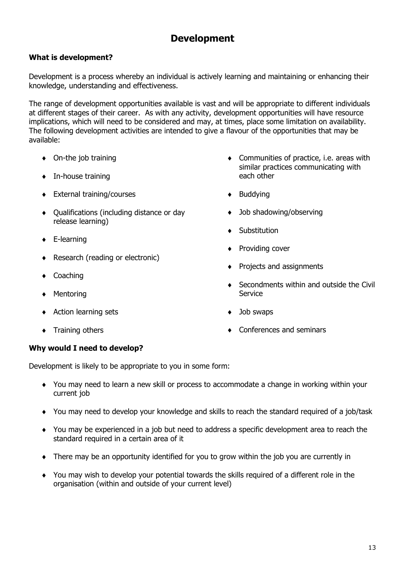# **Development**

# **What is development?**

Development is a process whereby an individual is actively learning and maintaining or enhancing their knowledge, understanding and effectiveness.

The range of development opportunities available is vast and will be appropriate to different individuals at different stages of their career. As with any activity, development opportunities will have resource implications, which will need to be considered and may, at times, place some limitation on availability. The following development activities are intended to give a flavour of the opportunities that may be available:

- ◆ On-the job training
- $\bullet$  In-house training
- ◆ External training/courses
- Qualifications (including distance or day release learning)
- ◆ E-learning
- Research (reading or electronic)
- ◆ Coaching
- ◆ Mentoring
- Action learning sets
- $\bullet$  Training others
- Communities of practice, i.e. areas with similar practices communicating with each other
- $\bullet$  Buddying
- ◆ Job shadowing/observing
- ◆ Substitution
- ◆ Providing cover
- Projects and assignments
- ◆ Secondments within and outside the Civil **Service**
- ◆ Job swaps
- ◆ Conferences and seminars

# **Why would I need to develop?**

Development is likely to be appropriate to you in some form:

- You may need to learn a new skill or process to accommodate a change in working within your current job
- You may need to develop your knowledge and skills to reach the standard required of a job/task
- You may be experienced in a job but need to address a specific development area to reach the standard required in a certain area of it
- There may be an opportunity identified for you to grow within the job you are currently in
- You may wish to develop your potential towards the skills required of a different role in the organisation (within and outside of your current level)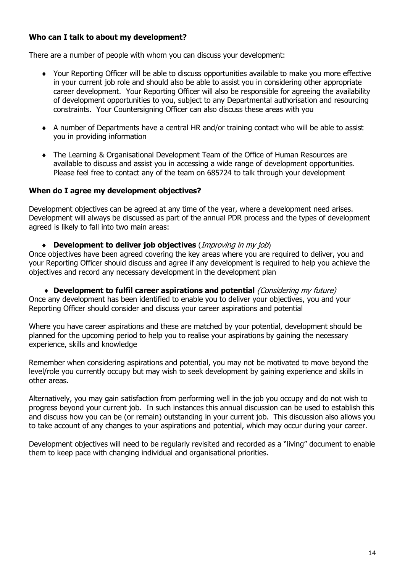# **Who can I talk to about my development?**

There are a number of people with whom you can discuss your development:

- Your Reporting Officer will be able to discuss opportunities available to make you more effective in your current job role and should also be able to assist you in considering other appropriate career development. Your Reporting Officer will also be responsible for agreeing the availability of development opportunities to you, subject to any Departmental authorisation and resourcing constraints. Your Countersigning Officer can also discuss these areas with you
- A number of Departments have a central HR and/or training contact who will be able to assist you in providing information
- The Learning & Organisational Development Team of the Office of Human Resources are available to discuss and assist you in accessing a wide range of development opportunities. Please feel free to contact any of the team on 685724 to talk through your development

# **When do I agree my development objectives?**

Development objectives can be agreed at any time of the year, where a development need arises. Development will always be discussed as part of the annual PDR process and the types of development agreed is likely to fall into two main areas:

**Development to deliver job objectives** (Improving in my job)

Once objectives have been agreed covering the key areas where you are required to deliver, you and your Reporting Officer should discuss and agree if any development is required to help you achieve the objectives and record any necessary development in the development plan

 **Development to fulfil career aspirations and potential** (Considering my future) Once any development has been identified to enable you to deliver your objectives, you and your Reporting Officer should consider and discuss your career aspirations and potential

Where you have career aspirations and these are matched by your potential, development should be planned for the upcoming period to help you to realise your aspirations by gaining the necessary experience, skills and knowledge

Remember when considering aspirations and potential, you may not be motivated to move beyond the level/role you currently occupy but may wish to seek development by gaining experience and skills in other areas.

Alternatively, you may gain satisfaction from performing well in the job you occupy and do not wish to progress beyond your current job. In such instances this annual discussion can be used to establish this and discuss how you can be (or remain) outstanding in your current job. This discussion also allows you to take account of any changes to your aspirations and potential, which may occur during your career.

Development objectives will need to be regularly revisited and recorded as a "living" document to enable them to keep pace with changing individual and organisational priorities.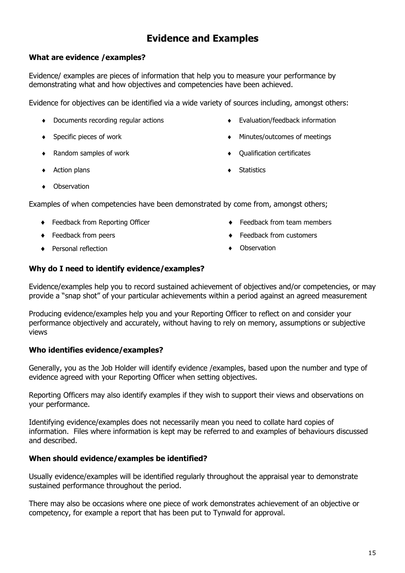# **Evidence and Examples**

# **What are evidence /examples?**

Evidence/ examples are pieces of information that help you to measure your performance by demonstrating what and how objectives and competencies have been achieved.

Evidence for objectives can be identified via a wide variety of sources including, amongst others:

- Documents recording regular actions
- ◆ Specific pieces of work
- ◆ Random samples of work
- ◆ Action plans
- Evaluation/feedback information
- Minutes/outcomes of meetings
- $\bullet$  Oualification certificates
- **+** Statistics

• Observation

Examples of when competencies have been demonstrated by come from, amongst others;

- ◆ Feedback from Reporting Officer
- ◆ Feedback from peers
- ◆ Personal reflection
- ◆ Feedback from team members
- Feedback from customers
- **Observation**

# **Why do I need to identify evidence/examples?**

Evidence/examples help you to record sustained achievement of objectives and/or competencies, or may provide a "snap shot" of your particular achievements within a period against an agreed measurement

Producing evidence/examples help you and your Reporting Officer to reflect on and consider your performance objectively and accurately, without having to rely on memory, assumptions or subjective views

# **Who identifies evidence/examples?**

Generally, you as the Job Holder will identify evidence /examples, based upon the number and type of evidence agreed with your Reporting Officer when setting objectives.

Reporting Officers may also identify examples if they wish to support their views and observations on your performance.

Identifying evidence/examples does not necessarily mean you need to collate hard copies of information. Files where information is kept may be referred to and examples of behaviours discussed and described.

# **When should evidence/examples be identified?**

Usually evidence/examples will be identified regularly throughout the appraisal year to demonstrate sustained performance throughout the period.

There may also be occasions where one piece of work demonstrates achievement of an objective or competency, for example a report that has been put to Tynwald for approval.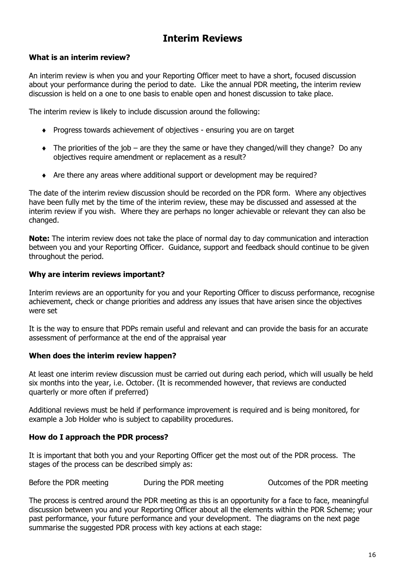# **Interim Reviews**

# **What is an interim review?**

An interim review is when you and your Reporting Officer meet to have a short, focused discussion about your performance during the period to date. Like the annual PDR meeting, the interim review discussion is held on a one to one basis to enable open and honest discussion to take place.

The interim review is likely to include discussion around the following:

- Progress towards achievement of objectives ensuring you are on target
- $\bullet$  The priorities of the job are they the same or have they changed/will they change? Do any objectives require amendment or replacement as a result?
- Are there any areas where additional support or development may be required?

The date of the interim review discussion should be recorded on the PDR form. Where any objectives have been fully met by the time of the interim review, these may be discussed and assessed at the interim review if you wish. Where they are perhaps no longer achievable or relevant they can also be changed.

**Note:** The interim review does not take the place of normal day to day communication and interaction between you and your Reporting Officer. Guidance, support and feedback should continue to be given throughout the period.

# **Why are interim reviews important?**

Interim reviews are an opportunity for you and your Reporting Officer to discuss performance, recognise achievement, check or change priorities and address any issues that have arisen since the objectives were set

It is the way to ensure that PDPs remain useful and relevant and can provide the basis for an accurate assessment of performance at the end of the appraisal year

# **When does the interim review happen?**

At least one interim review discussion must be carried out during each period, which will usually be held six months into the year, i.e. October. (It is recommended however, that reviews are conducted quarterly or more often if preferred)

Additional reviews must be held if performance improvement is required and is being monitored, for example a Job Holder who is subject to capability procedures.

# **How do I approach the PDR process?**

It is important that both you and your Reporting Officer get the most out of the PDR process. The stages of the process can be described simply as:

Before the PDR meeting **During the PDR meeting Controllery** Outcomes of the PDR meeting

The process is centred around the PDR meeting as this is an opportunity for a face to face, meaningful discussion between you and your Reporting Officer about all the elements within the PDR Scheme; your past performance, your future performance and your development. The diagrams on the next page summarise the suggested PDR process with key actions at each stage: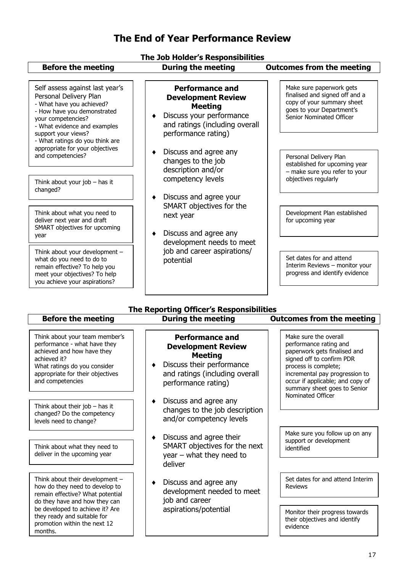# **The End of Year Performance Review**

#### **The Job Holder's Responsibilities**

#### **Before the meeting buring the meeting buring the meeting buring in the meeting buring the meeting in the meeting in the meeting in the meeting in the meeting in the meeting in the meeting in the meeting in the meeting in The Reporting Officer's Responsibilities Before the meeting buring the meeting buring the meeting buring in During the Meeting buring in During the Me** Think about their job – has it changed? Do the competency Make sure the overall performance rating and paperwork gets finalised and signed off to confirm PDR process is complete; incremental pay progression to occur if applicable; and copy of summary sheet goes to Senior Nominated Officer Think about your team member"s performance - what have they achieved and how have they achieved it? What ratings do you consider appropriate for their objectives and competencies **Performance and Development Review Meeting** Discuss their performance and ratings (including overall performance rating) ◆ Discuss and agree any changes to the job description **Performance and Development Review Meeting** • Discuss your performance and ratings (including overall performance rating) • Discuss and agree any changes to the job description and/or competency levels • Discuss and agree your SMART objectives for the next year ◆ Discuss and agree any development needs to meet job and career aspirations/ potential Make sure paperwork gets finalised and signed off and a copy of your summary sheet goes to your Department"s Senior Nominated Officer Self assess against last year's Personal Delivery Plan - What have you achieved? - How have you demonstrated your competencies? - What evidence and examples support your views? - What ratings do you think are appropriate for your objectives and competencies? <sup>Personal</sup> Discussion and competencies<sup>?</sup> established for upcoming year – make sure you refer to your objectives regularly Development Plan established for upcoming year Think about your job – has it changed? Think about what you need to deliver next year and draft SMART objectives for upcoming year Think about your development – what do you need to do to remain effective? To help you meet your objectives? To help you achieve your aspirations? Set dates for and attend Interim Reviews – monitor your progress and identify evidence

• Discuss and agree their SMART objectives for the next year – what they need to deliver

and/or competency levels

levels need to change?

months.

Think about what they need to deliver in the upcoming year

Think about their development – how do they need to develop to remain effective? What potential do they have and how they can be developed to achieve it? Are they ready and suitable for promotion within the next 12

• Discuss and agree any development needed to meet job and career aspirations/potential

Make sure you follow up on any support or development identified

Set dates for and attend Interim Reviews

Monitor their progress towards their objectives and identify evidence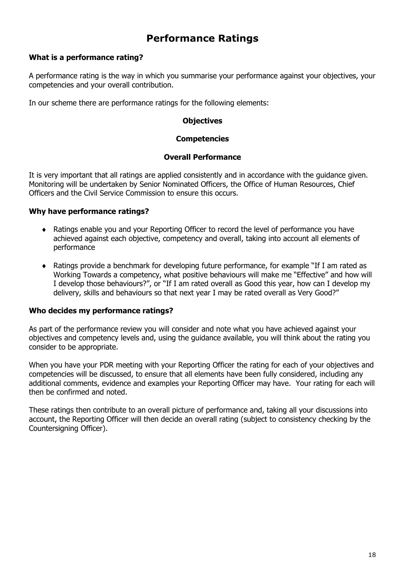# **Performance Ratings**

# **What is a performance rating?**

A performance rating is the way in which you summarise your performance against your objectives, your competencies and your overall contribution.

In our scheme there are performance ratings for the following elements:

#### **Objectives**

#### **Competencies**

#### **Overall Performance**

It is very important that all ratings are applied consistently and in accordance with the guidance given. Monitoring will be undertaken by Senior Nominated Officers, the Office of Human Resources, Chief Officers and the Civil Service Commission to ensure this occurs.

### **Why have performance ratings?**

- Ratings enable you and your Reporting Officer to record the level of performance you have achieved against each objective, competency and overall, taking into account all elements of performance
- Ratings provide a benchmark for developing future performance, for example "If I am rated as Working Towards a competency, what positive behaviours will make me "Effective" and how will I develop those behaviours?", or "If I am rated overall as Good this year, how can I develop my delivery, skills and behaviours so that next year I may be rated overall as Very Good?"

# **Who decides my performance ratings?**

As part of the performance review you will consider and note what you have achieved against your objectives and competency levels and, using the guidance available, you will think about the rating you consider to be appropriate.

When you have your PDR meeting with your Reporting Officer the rating for each of your objectives and competencies will be discussed, to ensure that all elements have been fully considered, including any additional comments, evidence and examples your Reporting Officer may have. Your rating for each will then be confirmed and noted.

These ratings then contribute to an overall picture of performance and, taking all your discussions into account, the Reporting Officer will then decide an overall rating (subject to consistency checking by the Countersigning Officer).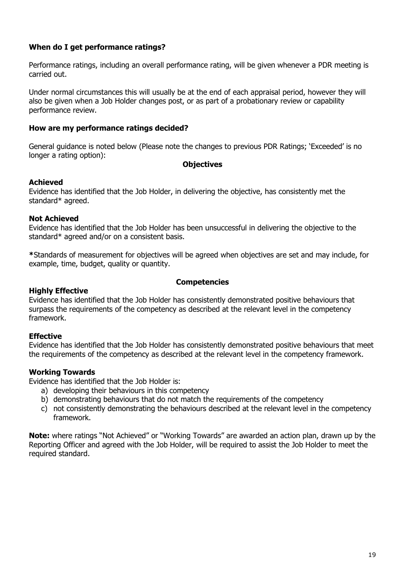# **When do I get performance ratings?**

Performance ratings, including an overall performance rating, will be given whenever a PDR meeting is carried out.

Under normal circumstances this will usually be at the end of each appraisal period, however they will also be given when a Job Holder changes post, or as part of a probationary review or capability performance review.

### **How are my performance ratings decided?**

General guidance is noted below (Please note the changes to previous PDR Ratings; "Exceeded" is no longer a rating option):

#### **Objectives**

#### **Achieved**

Evidence has identified that the Job Holder, in delivering the objective, has consistently met the standard\* agreed.

#### **Not Achieved**

Evidence has identified that the Job Holder has been unsuccessful in delivering the objective to the standard\* agreed and/or on a consistent basis.

**\***Standards of measurement for objectives will be agreed when objectives are set and may include, for example, time, budget, quality or quantity.

#### **Competencies**

#### **Highly Effective**

Evidence has identified that the Job Holder has consistently demonstrated positive behaviours that surpass the requirements of the competency as described at the relevant level in the competency framework.

#### **Effective**

Evidence has identified that the Job Holder has consistently demonstrated positive behaviours that meet the requirements of the competency as described at the relevant level in the competency framework.

#### **Working Towards**

Evidence has identified that the Job Holder is:

- a) developing their behaviours in this competency
- b) demonstrating behaviours that do not match the requirements of the competency
- c) not consistently demonstrating the behaviours described at the relevant level in the competency framework.

**Note:** where ratings "Not Achieved" or "Working Towards" are awarded an action plan, drawn up by the Reporting Officer and agreed with the Job Holder, will be required to assist the Job Holder to meet the required standard.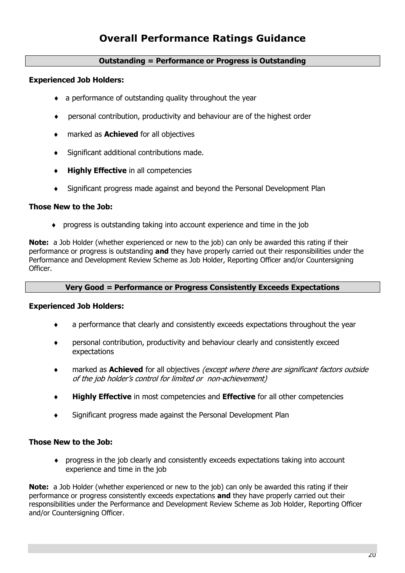# **Overall Performance Ratings Guidance**

### **Outstanding = Performance or Progress is Outstanding**

### **Experienced Job Holders:**

- a performance of outstanding quality throughout the year
- personal contribution, productivity and behaviour are of the highest order
- marked as **Achieved** for all objectives
- Significant additional contributions made.
- **Highly Effective** in all competencies
- Significant progress made against and beyond the Personal Development Plan

#### **Those New to the Job:**

progress is outstanding taking into account experience and time in the job

**Note:** a Job Holder (whether experienced or new to the job) can only be awarded this rating if their performance or progress is outstanding **and** they have properly carried out their responsibilities under the Performance and Development Review Scheme as Job Holder, Reporting Officer and/or Countersigning Officer.

### **Very Good = Performance or Progress Consistently Exceeds Expectations**

#### **Experienced Job Holders:**

- a performance that clearly and consistently exceeds expectations throughout the year
- personal contribution, productivity and behaviour clearly and consistently exceed expectations
- marked as **Achieved** for all objectives (except where there are significant factors outside of the job holder"s control for limited or non-achievement)
- **Highly Effective** in most competencies and **Effective** for all other competencies
- Significant progress made against the Personal Development Plan

# **Those New to the Job:**

 progress in the job clearly and consistently exceeds expectations taking into account experience and time in the job

**Note:** a Job Holder (whether experienced or new to the job) can only be awarded this rating if their performance or progress consistently exceeds expectations **and** they have properly carried out their responsibilities under the Performance and Development Review Scheme as Job Holder, Reporting Officer and/or Countersigning Officer.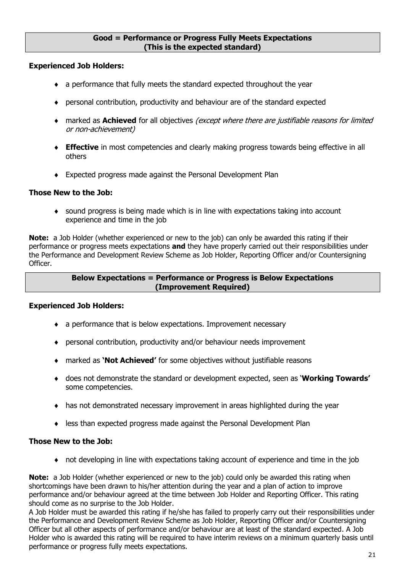#### **Good = Performance or Progress Fully Meets Expectations (This is the expected standard)**

### **Experienced Job Holders:**

- a performance that fully meets the standard expected throughout the year
- personal contribution, productivity and behaviour are of the standard expected
- marked as **Achieved** for all objectives (except where there are justifiable reasons for limited or non-achievement)
- **Effective** in most competencies and clearly making progress towards being effective in all others
- Expected progress made against the Personal Development Plan

### **Those New to the Job:**

 sound progress is being made which is in line with expectations taking into account experience and time in the job

**Note:** a Job Holder (whether experienced or new to the job) can only be awarded this rating if their performance or progress meets expectations **and** they have properly carried out their responsibilities under the Performance and Development Review Scheme as Job Holder, Reporting Officer and/or Countersigning Officer.

### **Below Expectations = Performance or Progress is Below Expectations (Improvement Required)**

#### **Experienced Job Holders:**

- a performance that is below expectations. Improvement necessary
- personal contribution, productivity and/or behaviour needs improvement
- marked as **'Not Achieved'** for some objectives without justifiable reasons
- does not demonstrate the standard or development expected, seen as "**Working Towards'** some competencies.
- has not demonstrated necessary improvement in areas highlighted during the year
- less than expected progress made against the Personal Development Plan

# **Those New to the Job:**

not developing in line with expectations taking account of experience and time in the job

**Note:** a Job Holder (whether experienced or new to the job) could only be awarded this rating when shortcomings have been drawn to his/her attention during the year and a plan of action to improve performance and/or behaviour agreed at the time between Job Holder and Reporting Officer. This rating should come as no surprise to the Job Holder.

A Job Holder must be awarded this rating if he/she has failed to properly carry out their responsibilities under the Performance and Development Review Scheme as Job Holder, Reporting Officer and/or Countersigning Officer but all other aspects of performance and/or behaviour are at least of the standard expected. A Job Holder who is awarded this rating will be required to have interim reviews on a minimum quarterly basis until performance or progress fully meets expectations.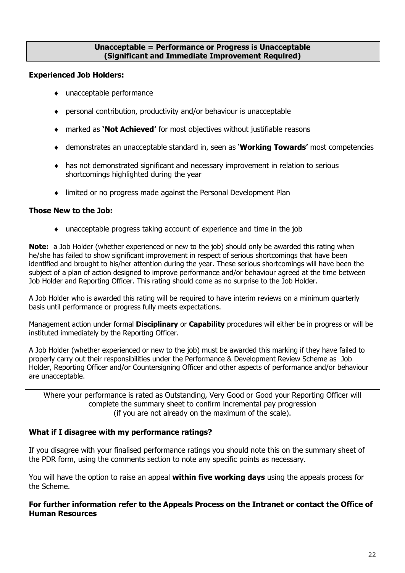### **Unacceptable = Performance or Progress is Unacceptable (Significant and Immediate Improvement Required)**

### **Experienced Job Holders:**

- unacceptable performance
- personal contribution, productivity and/or behaviour is unacceptable
- marked as **'Not Achieved'** for most objectives without justifiable reasons
- demonstrates an unacceptable standard in, seen as "**Working Towards'** most competencies
- has not demonstrated significant and necessary improvement in relation to serious shortcomings highlighted during the year
- limited or no progress made against the Personal Development Plan

# **Those New to the Job:**

unacceptable progress taking account of experience and time in the job

**Note:** a Job Holder (whether experienced or new to the job) should only be awarded this rating when he/she has failed to show significant improvement in respect of serious shortcomings that have been identified and brought to his/her attention during the year. These serious shortcomings will have been the subject of a plan of action designed to improve performance and/or behaviour agreed at the time between Job Holder and Reporting Officer. This rating should come as no surprise to the Job Holder.

A Job Holder who is awarded this rating will be required to have interim reviews on a minimum quarterly basis until performance or progress fully meets expectations.

Management action under formal **Disciplinary** or **Capability** procedures will either be in progress or will be instituted immediately by the Reporting Officer.

A Job Holder (whether experienced or new to the job) must be awarded this marking if they have failed to properly carry out their responsibilities under the Performance & Development Review Scheme as Job Holder, Reporting Officer and/or Countersigning Officer and other aspects of performance and/or behaviour are unacceptable.

Where your performance is rated as Outstanding, Very Good or Good your Reporting Officer will complete the summary sheet to confirm incremental pay progression (if you are not already on the maximum of the scale).

# **What if I disagree with my performance ratings?**

If you disagree with your finalised performance ratings you should note this on the summary sheet of the PDR form, using the comments section to note any specific points as necessary.

You will have the option to raise an appeal **within five working days** using the appeals process for the Scheme.

# **For further information refer to the Appeals Process on the Intranet or contact the Office of Human Resources**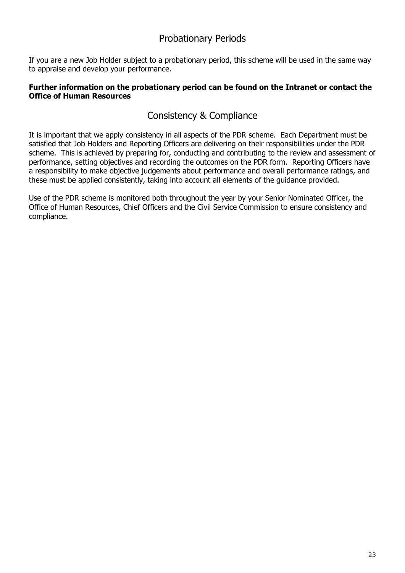# Probationary Periods

If you are a new Job Holder subject to a probationary period, this scheme will be used in the same way to appraise and develop your performance.

# **Further information on the probationary period can be found on the Intranet or contact the Office of Human Resources**

# Consistency & Compliance

It is important that we apply consistency in all aspects of the PDR scheme. Each Department must be satisfied that Job Holders and Reporting Officers are delivering on their responsibilities under the PDR scheme. This is achieved by preparing for, conducting and contributing to the review and assessment of performance, setting objectives and recording the outcomes on the PDR form. Reporting Officers have a responsibility to make objective judgements about performance and overall performance ratings, and these must be applied consistently, taking into account all elements of the guidance provided.

Use of the PDR scheme is monitored both throughout the year by your Senior Nominated Officer, the Office of Human Resources, Chief Officers and the Civil Service Commission to ensure consistency and compliance.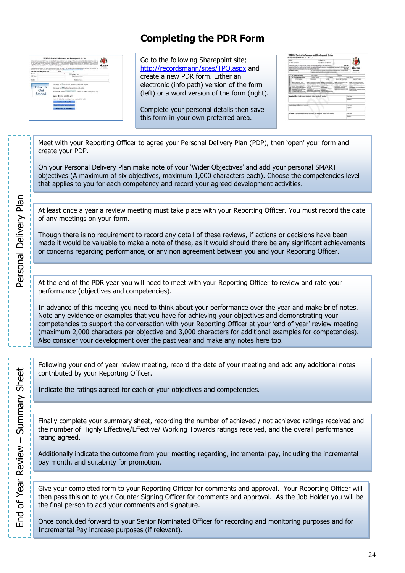# **Completing the PDR Form**

| with your livie manager and for man off and autonomic or the statutions cann. |                                                                                                                                                                                                                                                                                                            | <b>IOM Civil Service Performance and Development Review</b> | stationer to this steaming FBR farm, you will notes that this faste uses facular to the easters word first, this years has been assigned to Kyller smally the<br>completion of the required papercosk for this status. Please complete your personal detects and care this document total and underted areas. Introguese<br>the year sheep wind from the sature below what was used too to any considers the fields or recordeds. You will be field further the books of the field<br>with hydrac adurantees as each lentery. And audience in the information that in required. The form can be annual for you to your mater at the conversioning | <b>Isle of Man</b><br><b>CANSAS MOVEMENT</b> |
|-------------------------------------------------------------------------------|------------------------------------------------------------------------------------------------------------------------------------------------------------------------------------------------------------------------------------------------------------------------------------------------------------|-------------------------------------------------------------|---------------------------------------------------------------------------------------------------------------------------------------------------------------------------------------------------------------------------------------------------------------------------------------------------------------------------------------------------------------------------------------------------------------------------------------------------------------------------------------------------------------------------------------------------------------------------------------------------------------------------------------------------|----------------------------------------------|
|                                                                               | decised, help and further situations on these disease can be fixed fore \$50.00 business has been activity.                                                                                                                                                                                                |                                                             | Following the PDR revolut in 2011 tomal land drives bank lower looks by the schedul, further empting the process, and force are reflected to this                                                                                                                                                                                                                                                                                                                                                                                                                                                                                                 | <b>Waller Piley Wilmer</b>                   |
| this fame cowers the period from                                              | $m_{14}$                                                                                                                                                                                                                                                                                                   |                                                             |                                                                                                                                                                                                                                                                                                                                                                                                                                                                                                                                                                                                                                                   |                                              |
| <b>Name</b> :                                                                 |                                                                                                                                                                                                                                                                                                            | <b>Engineer Res</b>                                         |                                                                                                                                                                                                                                                                                                                                                                                                                                                                                                                                                                                                                                                   |                                              |
| <b>MA TRAH</b>                                                                |                                                                                                                                                                                                                                                                                                            | <b>Document Market Collect </b>                             |                                                                                                                                                                                                                                                                                                                                                                                                                                                                                                                                                                                                                                                   |                                              |
| Kender                                                                        |                                                                                                                                                                                                                                                                                                            | <b>Biblioga</b> Sales                                       |                                                                                                                                                                                                                                                                                                                                                                                                                                                                                                                                                                                                                                                   | ٠                                            |
| How To<br>Get<br>Started                                                      | Cist, any of the 1999) buttons for examples on each section<br>Airporter to chk the Miller Airborn<br>What do you want to do?<br>Salest the link below depending on what you would like to do:<br><b>Except for creative and PEC</b><br>I want to review on proformance<br>I want to rate my perfectuance. |                                                             | button to refuse buch to the previous paper                                                                                                                                                                                                                                                                                                                                                                                                                                                                                                                                                                                                       |                                              |

Go to the following Sharepoint site; <http://recordsmann/sites/TPO.aspx> and create a new PDR form. Either an electronic (info path) version of the form (left) or a word version of the form (right).

Complete your personal details then save this form in your own preferred area.

| $\overline{ }$                                                                                                     |                                                                                                                                                                                                                                                                                                      |                                                                                                                                                                                                                                                                                                                                                                                                 | <b>Drakiwa No.</b>                                                                                                                                                                                                                                                             |                                                                                                                                                                                                                                                                       |                                               |                                                                                                                                                                                                                                                                                                                                       |  |
|--------------------------------------------------------------------------------------------------------------------|------------------------------------------------------------------------------------------------------------------------------------------------------------------------------------------------------------------------------------------------------------------------------------------------------|-------------------------------------------------------------------------------------------------------------------------------------------------------------------------------------------------------------------------------------------------------------------------------------------------------------------------------------------------------------------------------------------------|--------------------------------------------------------------------------------------------------------------------------------------------------------------------------------------------------------------------------------------------------------------------------------|-----------------------------------------------------------------------------------------------------------------------------------------------------------------------------------------------------------------------------------------------------------------------|-----------------------------------------------|---------------------------------------------------------------------------------------------------------------------------------------------------------------------------------------------------------------------------------------------------------------------------------------------------------------------------------------|--|
| <b>14 The set Grate</b>                                                                                            |                                                                                                                                                                                                                                                                                                      |                                                                                                                                                                                                                                                                                                                                                                                                 | <b>Importment and Statutor</b>                                                                                                                                                                                                                                                 |                                                                                                                                                                                                                                                                       |                                               |                                                                                                                                                                                                                                                                                                                                       |  |
|                                                                                                                    |                                                                                                                                                                                                                                                                                                      | is bearing (the Cran refer that by 20 miles for warbel to main on allow constitue was                                                                                                                                                                                                                                                                                                           |                                                                                                                                                                                                                                                                                |                                                                                                                                                                                                                                                                       | 103 (93)                                      |                                                                                                                                                                                                                                                                                                                                       |  |
|                                                                                                                    |                                                                                                                                                                                                                                                                                                      | is faced to 25 or 1 or unless but the 10 hills for markets that polymers is an actual similar accounts for that puls and un-                                                                                                                                                                                                                                                                    |                                                                                                                                                                                                                                                                                |                                                                                                                                                                                                                                                                       | 65.160                                        |                                                                                                                                                                                                                                                                                                                                       |  |
| program to the reed in terrent & paid: of their pay imple from the dise (play<br><b><i><u>Alley Market</u></i></b> |                                                                                                                                                                                                                                                                                                      |                                                                                                                                                                                                                                                                                                                                                                                                 | The question cried must be concerned and until offer the<br>a harmonization of automobile backgrounds                                                                                                                                                                          | <b>He's at an occurate</b>                                                                                                                                                                                                                                            | <b>GNITERIA</b><br><b>Britain Man Service</b> |                                                                                                                                                                                                                                                                                                                                       |  |
| to of shierbar ration                                                                                              |                                                                                                                                                                                                                                                                                                      | <b>NA Julianne</b>                                                                                                                                                                                                                                                                                                                                                                              |                                                                                                                                                                                                                                                                                | <b>Istilane</b>                                                                                                                                                                                                                                                       |                                               |                                                                                                                                                                                                                                                                                                                                       |  |
|                                                                                                                    | by of compulsors calling                                                                                                                                                                                                                                                                             | Volvia Treatile                                                                                                                                                                                                                                                                                                                                                                                 | <b>The Aut</b>                                                                                                                                                                                                                                                                 |                                                                                                                                                                                                                                                                       | really Placks                                 |                                                                                                                                                                                                                                                                                                                                       |  |
|                                                                                                                    | OUTSTANDING                                                                                                                                                                                                                                                                                          | star Lock                                                                                                                                                                                                                                                                                                                                                                                       | 1,006                                                                                                                                                                                                                                                                          | <b>JOE FRACTATIONS</b>                                                                                                                                                                                                                                                |                                               | <b>INVESTIGAT</b>                                                                                                                                                                                                                                                                                                                     |  |
| <b>MINE MORELER</b><br>or movement there is an excellent                                                           | advote reclassive aport in the light control<br><b>Southern Claric contractors</b><br><b>SURGESTATION AND THURS IN THE SALE</b><br>as a local tax doesn't duration.<br>Nonetariadade Tyhtohogen (dogon)<br>A billion per chief. There are a more<br>William Britain and Contact Contact Contact Con- | <b>WANT WAS A RIVE WANTED AND ART</b><br>the collegeant scope changes! what information as<br>NATIONAL PROTECTION AND COMMON VALUE AND RESERVE<br>bullet collection make shaking. All paintings there are<br>Males and Anchemistra of College<br><b>Those investment</b> further compared with 1<br>in hard beam of the<br><b>STATEMENT PRODUCTS CONTROL</b><br>terminates in dependence on the | <b>JEREINA'S BOLLERING</b><br><b>PERSONAL</b><br><b>SERVICE STORY CONTROL</b><br><b><i><u><u>Seattle model</u></u></i></b><br><b>South Clark Holy Pill Hills</b><br><b>STATISTICS</b><br><b>A DOMESTIC HOMES</b><br><b><i><u>Septimental</u></i></b><br><b>University</b> to a | <b>WITH THE CARD OF GALLERY</b><br>beautiful Contemporary of<br>A CONSTITUTION ON A SERVICE CARD CARDS<br><b>ALCOHOL:</b><br><b>Analyticapied</b> carterisate lister<br>tell accord has been to<br>ENGINEERING CONSULTING<br><b>CARD - THE ALTA THORNE IS THE TWO</b> |                                               | <b>Hart - In the way office agrees that his allow</b><br>to store to new years.<br><b>CARDINAL ATTACHMENT THAN FLAVIRUM</b><br>to the below deliver today before the<br><b>STARTING</b><br><b><i><u>Seattlement</u></i></b> information manifold<br><b>Toyot Structure</b><br>The Resident Park Constitution and<br><b>CONTRACTOR</b> |  |
|                                                                                                                    |                                                                                                                                                                                                                                                                                                      | provides (Micro Durch connect) includes introduct customs for providers                                                                                                                                                                                                                                                                                                                         |                                                                                                                                                                                                                                                                                |                                                                                                                                                                                                                                                                       | <b><i>Angel Business</i></b>                  |                                                                                                                                                                                                                                                                                                                                       |  |
|                                                                                                                    |                                                                                                                                                                                                                                                                                                      |                                                                                                                                                                                                                                                                                                                                                                                                 |                                                                                                                                                                                                                                                                                |                                                                                                                                                                                                                                                                       | <b>Squakes</b>                                |                                                                                                                                                                                                                                                                                                                                       |  |
|                                                                                                                    | <b>Conteniente Office Ivest connecto</b>                                                                                                                                                                                                                                                             |                                                                                                                                                                                                                                                                                                                                                                                                 |                                                                                                                                                                                                                                                                                |                                                                                                                                                                                                                                                                       | Pot Sales                                     |                                                                                                                                                                                                                                                                                                                                       |  |
|                                                                                                                    |                                                                                                                                                                                                                                                                                                      |                                                                                                                                                                                                                                                                                                                                                                                                 |                                                                                                                                                                                                                                                                                |                                                                                                                                                                                                                                                                       | <b><i><u>Constant</u></i></b>                 |                                                                                                                                                                                                                                                                                                                                       |  |
|                                                                                                                    |                                                                                                                                                                                                                                                                                                      | McNiller - Larrello ed agre will be forlowed and booksment forms. Overal competi-                                                                                                                                                                                                                                                                                                               |                                                                                                                                                                                                                                                                                |                                                                                                                                                                                                                                                                       | <b><i>And Surra</i></b>                       |                                                                                                                                                                                                                                                                                                                                       |  |
|                                                                                                                    |                                                                                                                                                                                                                                                                                                      |                                                                                                                                                                                                                                                                                                                                                                                                 |                                                                                                                                                                                                                                                                                |                                                                                                                                                                                                                                                                       | Spaten                                        |                                                                                                                                                                                                                                                                                                                                       |  |

Meet with your Reporting Officer to agree your Personal Delivery Plan (PDP), then "open" your form and create your PDP.

On your Personal Delivery Plan make note of your "Wider Objectives" and add your personal SMART objectives (A maximum of six objectives, maximum 1,000 characters each). Choose the competencies level that applies to you for each competency and record your agreed development activities.

At least once a year a review meeting must take place with your Reporting Officer. You must record the date of any meetings on your form.

Though there is no requirement to record any detail of these reviews, if actions or decisions have been made it would be valuable to make a note of these, as it would should there be any significant achievements or concerns regarding performance, or any non agreement between you and your Reporting Officer.

At the end of the PDR year you will need to meet with your Reporting Officer to review and rate your performance (objectives and competencies).

In advance of this meeting you need to think about your performance over the year and make brief notes. Note any evidence or examples that you have for achieving your objectives and demonstrating your competencies to support the conversation with your Reporting Officer at your "end of year" review meeting (maximum 2,000 characters per objective and 3,000 characters for additional examples for competencies). Also consider your development over the past year and make any notes here too.

Following your end of year review meeting, record the date of your meeting and add any additional notes contributed by your Reporting Officer.

Indicate the ratings agreed for each of your objectives and competencies.

Finally complete your summary sheet, recording the number of achieved / not achieved ratings received and the number of Highly Effective/Effective/ Working Towards ratings received, and the overall performance rating agreed.

Additionally indicate the outcome from your meeting regarding, incremental pay, including the incremental pay month, and suitability for promotion.

Give your completed form to your Reporting Officer for comments and approval. Your Reporting Officer will then pass this on to your Counter Signing Officer for comments and approval. As the Job Holder you will be the final person to add your comments and signature.

Once concluded forward to your Senior Nominated Officer for recording and monitoring purposes and for Incremental Pay increase purposes (if relevant).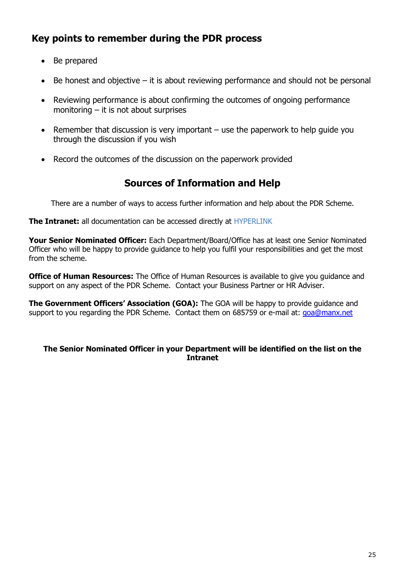# **Key points to remember during the PDR process**

- Be prepared
- $\bullet$  Be honest and objective it is about reviewing performance and should not be personal
- Reviewing performance is about confirming the outcomes of ongoing performance monitoring  $-$  it is not about surprises
- Remember that discussion is very important use the paperwork to help guide you through the discussion if you wish
- Record the outcomes of the discussion on the paperwork provided

# **Sources of Information and Help**

There are a number of ways to access further information and help about the PDR Scheme.

**The Intranet:** all documentation can be accessed directly at HYPERLINK

**Your Senior Nominated Officer:** Each Department/Board/Office has at least one Senior Nominated Officer who will be happy to provide guidance to help you fulfil your responsibilities and get the most from the scheme.

**Office of Human Resources:** The Office of Human Resources is available to give you guidance and support on any aspect of the PDR Scheme. Contact your Business Partner or HR Adviser.

**The Government Officers' Association (GOA):** The GOA will be happy to provide guidance and support to you regarding the PDR Scheme. Contact them on 685759 or e-mail at: [goa@manx.net](mailto:goa@manx.net)

# **The Senior Nominated Officer in your Department will be identified on the list on the Intranet**